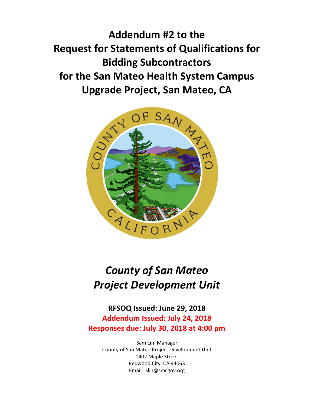**Addendum #2 to the Request for Statements of Qualifications for Bidding Subcontractors for the San Mateo Health System Campus Upgrade Project, San Mateo, CA**



# *County of San Mateo Project Development Unit*

### **RFSOQ Issued: June 29, 2018 Addendum Issued: July 24, 2018 Responses due: July 30, 2018 at 4:00 pm**

Sam Lin, Manager County of San Mateo Project Development Unit 1402 Maple Street Redwood City, CA 94063 Email: slin@smcgov.org